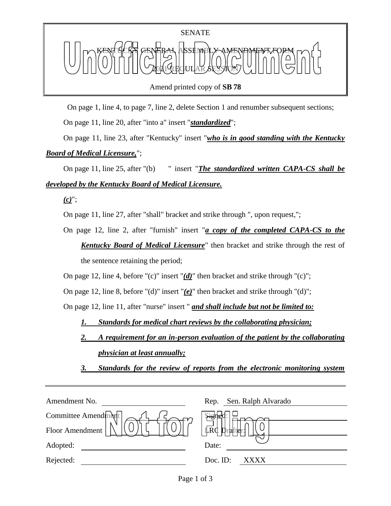Amend printed copy of **SB 78**

On page 1, line 4, to page 7, line 2, delete Section 1 and renumber subsequent sections;

On page 11, line 20, after "into a" insert "*standardized*";

On page 11, line 23, after "Kentucky" insert "*who is in good standing with the Kentucky Board of Medical Licensure,*";

On page 11, line 25, after "(b) " insert "*The standardized written CAPA-CS shall be developed by the Kentucky Board of Medical Licensure.*

*(c)*";

On page 11, line 27, after "shall" bracket and strike through ", upon request,";

On page 12, line 2, after "furnish" insert "*a copy of the completed CAPA-CS to the Kentucky Board of Medical Licensure*" then bracket and strike through the rest of the sentence retaining the period;

On page 12, line 4, before "(c)" insert "*(d)*" then bracket and strike through "(c)";

On page 12, line 8, before "(d)" insert "*(e)*" then bracket and strike through "(d)";

On page 12, line 11, after "nurse" insert " *and shall include but not be limited to:*

*1. Standards for medical chart reviews by the collaborating physician;* 

*2. A requirement for an in-person evaluation of the patient by the collaborating physician at least annually;*

*3. Standards for the review of reports from the electronic monitoring system* 

| Amendment No.       | Sen. Ralph Alvarado<br>Rep. |
|---------------------|-----------------------------|
| Committee Amendment | signer                      |
| Floor Amendment     | LRC<br>Drafter:             |
| Adopted:            | Date:                       |
| Rejected:           | Doc. ID:<br>XXXX            |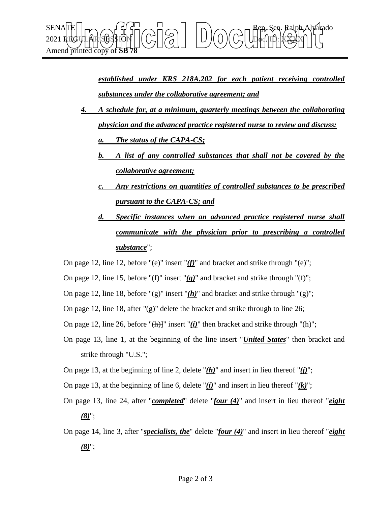

*established under KRS 218A.202 for each patient receiving controlled substances under the collaborative agreement; and*

- *4. A schedule for, at a minimum, quarterly meetings between the collaborating physician and the advanced practice registered nurse to review and discuss:*
	- *a. The status of the CAPA-CS;*
	- *b. A list of any controlled substances that shall not be covered by the collaborative agreement;*
	- *c. Any restrictions on quantities of controlled substances to be prescribed pursuant to the CAPA-CS; and*
	- *d. Specific instances when an advanced practice registered nurse shall communicate with the physician prior to prescribing a controlled substance*";
- On page 12, line 12, before "(e)" insert "*(f)*" and bracket and strike through "(e)";
- On page 12, line 15, before "(f)" insert "*(g)*" and bracket and strike through "(f)";
- On page 12, line 18, before " $(g)$ " insert " $(h)$ " and bracket and strike through " $(g)$ ";
- On page 12, line 18, after "(g)" delete the bracket and strike through to line 26;
- On page 12, line 26, before " $(h)$ ]" insert " $(i)$ " then bracket and strike through " $(h)$ ";
- On page 13, line 1, at the beginning of the line insert "*United States*" then bracket and strike through "U.S.";
- On page 13, at the beginning of line 2, delete " $(h)$ " and insert in lieu thereof " $(i)$ ";
- On page 13, at the beginning of line 6, delete " $(i)$ " and insert in lieu thereof " $(k)$ ";
- On page 13, line 24, after "*completed*" delete "*four (4)*" and insert in lieu thereof "*eight (8)*";
- On page 14, line 3, after "*specialists, the*" delete "*four (4)*" and insert in lieu thereof "*eight (8)*";